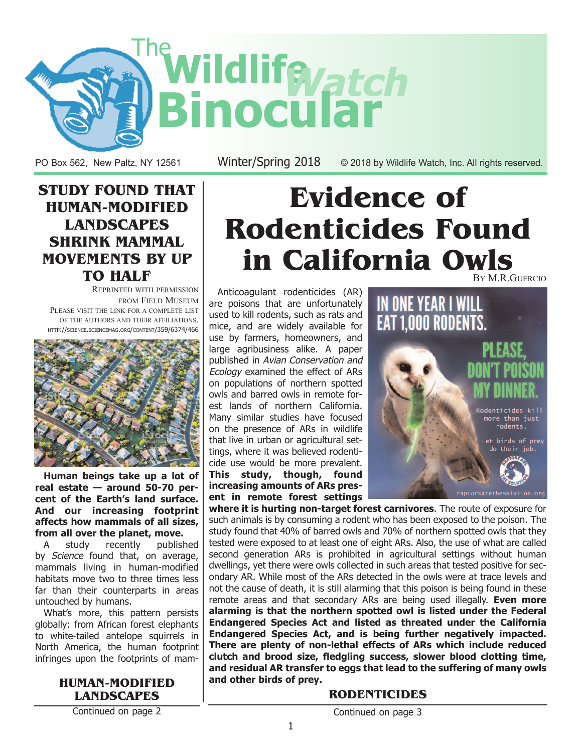

PO Box 562, New Paltz, NY 12561 Winter/Spring 2018 © 2018 by Wildlife Watch, Inc. All rights reserved.

### **STUDY FOUND THAT HUMAN-MODIFIED LANDSCAPES SHRINK MAMMAL MOVEMENTS BY UP TO HALF**

REPRINTED WITH PERMISSION FROM FIELD MUSEUM PLEASE VISIT THE LINK FOR A COMPLETE LIST OF THE AUTHORS AND THEIR AFFILIATIONS. HTTP://SCIENCE.SCIENCEMAG.ORG/CONTENT/359/6374/466



**Human beings take up a lot of real estate — around 50-70 percent of the Earth's land surface. And our increasing footprint affects how mammals of all sizes, from all over the planet, move.**

A study recently published by Science found that, on average, mammals living in human-modified habitats move two to three times less far than their counterparts in areas untouched by humans.

What's more, this pattern persists globally: from African forest elephants to white-tailed antelope squirrels in North America, the human footprint infringes upon the footprints of mam-

### **HUMAN-MODIFIED LANDSCAPES**

Continued on page 2

# **Evidence of Rodenticides Found in California Owls**  BY M.R.GUERCIO

Anticoagulant rodenticides (AR) are poisons that are unfortunately used to kill rodents, such as rats and mice, and are widely available for use by farmers, homeowners, and large agribusiness alike. A paper published in Avian Conservation and Ecology examined the effect of ARs on populations of northern spotted owls and barred owls in remote forest lands of northern California. Many similar studies have focused on the presence of ARs in wildlife that live in urban or agricultural settings, where it was believed rodenticide use would be more prevalent. **This study, though, found increasing amounts of ARs present in remote forest settings**



**where it is hurting non-target forest carnivores**. The route of exposure for such animals is by consuming a rodent who has been exposed to the poison. The study found that 40% of barred owls and 70% of northern spotted owls that they tested were exposed to at least one of eight ARs. Also, the use of what are called second generation ARs is prohibited in agricultural settings without human dwellings, yet there were owls collected in such areas that tested positive for secondary AR. While most of the ARs detected in the owls were at trace levels and not the cause of death, it is still alarming that this poison is being found in these remote areas and that secondary ARs are being used illegally. **Even more alarming is that the northern spotted owl is listed under the Federal Endangered Species Act and listed as threated under the California Endangered Species Act, and is being further negatively impacted. There are plenty of non-lethal effects of ARs which include reduced clutch and brood size, fledgling success, slower blood clotting time, and residual AR transfer to eggs that lead to the suffering of many owls and other birds of prey.**

### **RODENTICIDES**

Continued on page 3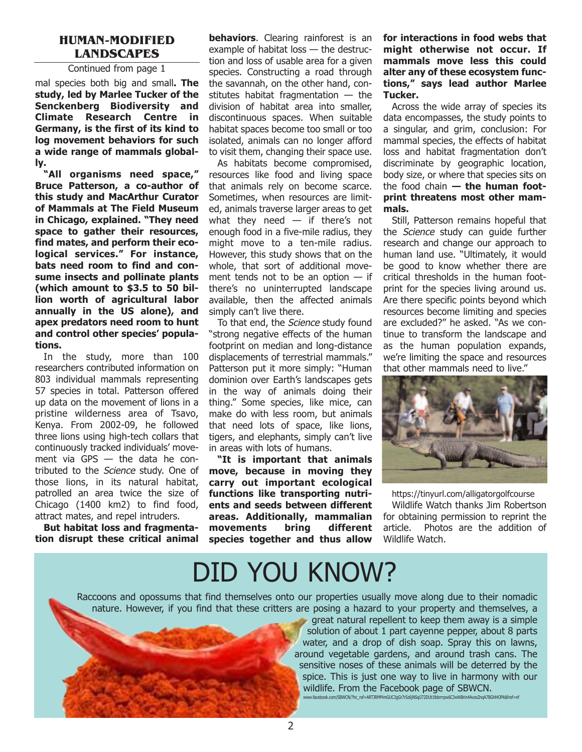#### **HUMAN-MODIFIED LANDSCAPES**

#### Continued from page 1

mal species both big and small**. The study, led by Marlee Tucker of the Senckenberg Biodiversity and Climate Research Centre in Germany, is the first of its kind to log movement behaviors for such a wide range of mammals globally.**

**"All organisms need space," Bruce Patterson, a co-author of this study and MacArthur Curator of Mammals at The Field Museum in Chicago, explained. "They need space to gather their resources, find mates, and perform their ecological services." For instance, bats need room to find and consume insects and pollinate plants (which amount to \$3.5 to 50 billion worth of agricultural labor annually in the US alone), and apex predators need room to hunt and control other species' populations.**

In the study, more than 100 researchers contributed information on 803 individual mammals representing 57 species in total. Patterson offered up data on the movement of lions in a pristine wilderness area of Tsavo, Kenya. From 2002-09, he followed three lions using high-tech collars that continuously tracked individuals' movement via GPS — the data he contributed to the Science study. One of those lions, in its natural habitat, patrolled an area twice the size of Chicago (1400 km2) to find food, attract mates, and repel intruders.

**But habitat loss and fragmentation disrupt these critical animal** **behaviors.** Clearing rainforest is an example of habitat loss — the destruction and loss of usable area for a given species. Constructing a road through the savannah, on the other hand, constitutes habitat fragmentation — the division of habitat area into smaller, discontinuous spaces. When suitable habitat spaces become too small or too isolated, animals can no longer afford to visit them, changing their space use.

As habitats become compromised, resources like food and living space that animals rely on become scarce. Sometimes, when resources are limited, animals traverse larger areas to get what they need  $-$  if there's not enough food in a five-mile radius, they might move to a ten-mile radius. However, this study shows that on the whole, that sort of additional movement tends not to be an option — if there's no uninterrupted landscape available, then the affected animals simply can't live there.

To that end, the Science study found "strong negative effects of the human footprint on median and long-distance displacements of terrestrial mammals." Patterson put it more simply: "Human dominion over Earth's landscapes gets in the way of animals doing their thing." Some species, like mice, can make do with less room, but animals that need lots of space, like lions, tigers, and elephants, simply can't live in areas with lots of humans.

**"It is important that animals move, because in moving they carry out important ecological functions like transporting nutrients and seeds between different areas. Additionally, mammalian movements bring different species together and thus allow**

**for interactions in food webs that might otherwise not occur. If mammals move less this could alter any of these ecosystem functions," says lead author Marlee Tucker.**

Across the wide array of species its data encompasses, the study points to a singular, and grim, conclusion: For mammal species, the effects of habitat loss and habitat fragmentation don't discriminate by geographic location, body size, or where that species sits on the food chain **— the human footprint threatens most other mammals.**

Still, Patterson remains hopeful that the Science study can guide further research and change our approach to human land use. "Ultimately, it would be good to know whether there are critical thresholds in the human footprint for the species living around us. Are there specific points beyond which resources become limiting and species are excluded?" he asked. "As we continue to transform the landscape and as the human population expands, we're limiting the space and resources [that other mammals need to live."](https://tinyurl.com/alligatorgolfcourse) 



https://tinyurl.com/alligatorgolfcourse

Wildlife Watch thanks Jim Robertson for obtaining permission to reprint the article. Photos are the addition of Wildlife Watch.

# DID YOU KNOW?

Raccoons and opossums that find themselves onto our properties usually move along due to their nomadic nature. However, if you find that these critters are posing a hazard to your property and themselves, a

great natural repellent to keep them away is a simple solution of about 1 part cayenne pepper, about 8 parts water, and a drop of dish soap. Spray this on lawns, around vegetable gardens, and around trash cans. The sensitive noses of these animals will be deterred by the spice. This is just one way to live in harmony with our wildlife. From the Facebook page of SBWCN. www.facebook.com/SBWCN/?hc\_ref=ARTJRMf4mGUC3gGr7rSz6jNSqiJ72DUt1lbbrrrpw6C3wWBrin4AvzoZnqA7BGHHOPk&fref=nf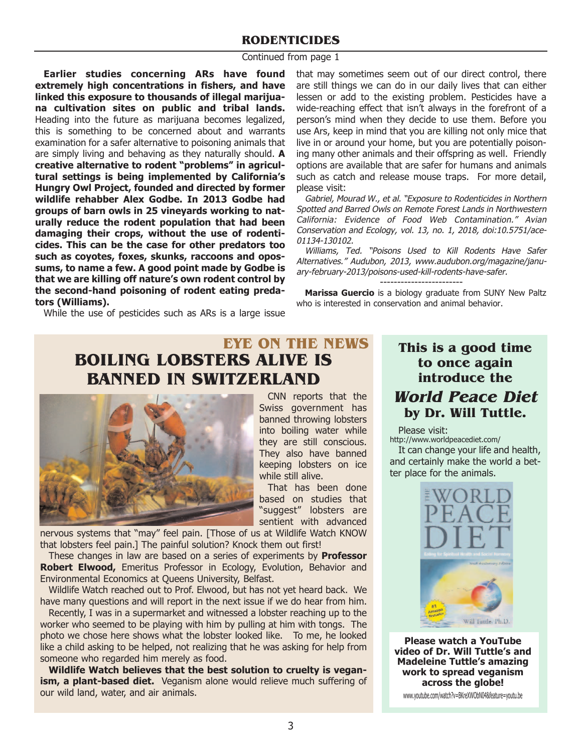### **RODENTICIDES**

#### Continued from page 1

**Earlier studies concerning ARs have found extremely high concentrations in fishers, and have linked this exposure to thousands of illegal marijuana cultivation sites on public and tribal lands.** Heading into the future as marijuana becomes legalized, this is something to be concerned about and warrants examination for a safer alternative to poisoning animals that are simply living and behaving as they naturally should. **A creative alternative to rodent "problems" in agricultural settings is being implemented by California's Hungry Owl Project, founded and directed by former wildlife rehabber Alex Godbe. In 2013 Godbe had groups of barn owls in 25 vineyards working to naturally reduce the rodent population that had been damaging their crops, without the use of rodenticides. This can be the case for other predators too such as coyotes, foxes, skunks, raccoons and opossums, to name a few. A good point made by Godbe is that we are killing off nature's own rodent control by the second-hand poisoning of rodent eating predators (Williams).**

that may sometimes seem out of our direct control, there are still things we can do in our daily lives that can either lessen or add to the existing problem. Pesticides have a wide-reaching effect that isn't always in the forefront of a person's mind when they decide to use them. Before you use Ars, keep in mind that you are killing not only mice that live in or around your home, but you are potentially poisoning many other animals and their offspring as well. Friendly options are available that are safer for humans and animals such as catch and release mouse traps. For more detail, please visit:

Gabriel, Mourad W., et al. "Exposure to Rodenticides in Northern Spotted and Barred Owls on Remote Forest Lands in Northwestern California: Evidence of Food Web Contamination." Avian Conservation and Ecology, vol. 13, no. 1, 2018, doi:10.5751/ace-01134-130102.

Williams, Ted. "Poisons Used to Kill Rodents Have Safer Alternatives." Audubon, 2013, www.audubon.org/magazine/january-february-2013/poisons-used-kill-rodents-have-safer.

------------------------ **Marissa Guercio** is a biology graduate from SUNY New Paltz who is interested in conservation and animal behavior.

While the use of pesticides such as ARs is a large issue

## **BOILING LOBSTERS ALIVE IS [BANNED IN SWITZER](https://tinyurl.com/y8cjyfq6)LAND EYE ON THE NEWS**



CNN reports that the Swiss government has banned throwing lobsters into boiling water while they are still conscious. They also have banned keeping lobsters on ice while still alive.

That has been done based on studies that "suggest" lobsters are sentient with advanced

nervous systems that "may" feel pain. [Those of us at Wildlife Watch KNOW that lobsters feel pain.] The painful solution? Knock them out first!

These changes in law are based on a series of experiments by **Professor Robert Elwood,** Emeritus Professor in Ecology, Evolution, Behavior and Environmental Economics at Queens University, Belfast.

Wildlife Watch reached out to Prof. Elwood, but has not yet heard back. We have many questions and will report in the next issue if we do hear from him.

Recently, I was in a supermarket and witnessed a lobster reaching up to the worker who seemed to be playing with him by pulling at him with tongs. The photo we chose here shows what the lobster looked like. To me, he looked like a child asking to be helped, not realizing that he was asking for help from someone who regarded him merely as food.

**Wildlife Watch believes that the best solution to cruelty is vegan**ism, a plant-based diet. Veganism alone would relieve much suffering of our wild land, water, and air animals.

### **This is a good time to once again introduce the World Peace Diet by Dr. Will Tuttle.**

Please visit:

http://www.worldpeacediet.com/

It can change your life and health, and certainly make the world a better place for the animals.



**Please watch a YouTube video of Dr. Will Tuttle's and Madeleine Tuttle's amazing work to spread veganism across the globe!**

www.youtube.com/watch?v=BKreXWObN04&feature=youtu.be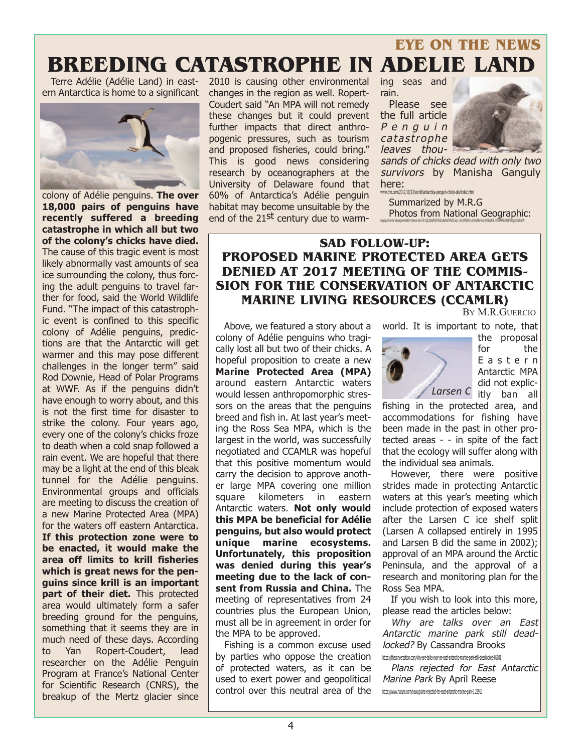## **BREEDING CATASTROPHE IN ADELIE LAND EYE ON THE NEWS**

Terre Adélie (Adélie Land) in eastern Antarctica is home to a significant



**18,000 pairs of penguins have recently suffered a breeding catastrophe in which all but two of the colony's chicks have died.** The cause of this tragic event is most likely abnormally vast amounts of sea ice surrounding the colony, thus forcing the adult penguins to travel farther for food, said the World Wildlife Fund. "The impact of this catastrophic event is confined to this specific colony of Adélie penguins, predictions are that the Antarctic will get warmer and this may pose different challenges in the longer term" said Rod Downie, Head of Polar Programs at WWF. As if the penguins didn't have enough to worry about, and this is not the first time for disaster to strike the colony. Four years ago, every one of the colony's chicks froze to death when a cold snap followed a rain event. We are hopeful that there may be a light at the end of this bleak tunnel for the Adélie penguins. Environmental groups and officials are meeting to discuss the creation of a new Marine Protected Area (MPA) for the waters off eastern Antarctica. **If this protection zone were to be enacted, it would make the area off limits to krill fisheries which is great news for the penguins since krill is an important part of their diet.** This protected area would ultimately form a safer breeding ground for the penguins, something that it seems they are in much need of these days. According to Yan Ropert-Coudert, lead researcher on the Adélie Penguin Program at France's National Center for Scientific Research (CNRS), the breakup of the Mertz glacier since 2010 is causing other environmental changes in the region as well. Ropert-Coudert said "An MPA will not remedy these changes but it could prevent further impacts that direct anthropogenic pressures, such as tourism and proposed fisheries, could bring." This is good news considering research by oceanographers at the University of Delaware found that 60% of Antarctica's Adélie penguin habitat may become unsuitable by the end of the 21<sup>st</sup> century due to warm-

sors on the areas that the penguins breed and fish in. At last year's meeting the Ross Sea MPA, which is the largest in the world, was successfully negotiated and CCAMLR was hopeful that this positive momentum would carry the decision to approve another large MPA covering one million square kilometers in eastern Antarctic waters. **Not only would this MPA be beneficial for Adélie penguins, but also would protect unique marine ecosystems. Unfortunately, this proposition was denied during this year's meeting due to the lack of consent from Russia and China.** The meeting of representatives from 24 countries plus the European Union, must all be in agreement in order for

ing seas and rain.

Please see the full article Penguin catastrophe leaves thou-



sands of chic[ks](http://www.cnn.com/2017/10/13/world/antarctica-penguin-chicks-die/index.html) [dead](http://www.cnn.com/2017/10/13/world/antarctica-penguin-chicks-die/index.html) [with](http://www.cnn.com/2017/10/13/world/antarctica-penguin-chicks-die/index.html) [only](http://www.cnn.com/2017/10/13/world/antarctica-penguin-chicks-die/index.html) [two](http://www.cnn.com/2017/10/13/world/antarctica-penguin-chicks-die/index.html) survivors by Manisha Ganguly here: www.cnn.com/2017/10/13/world/antarctica-penguin-chicks-die/index.html

Summarized by M.R.G Photos from National Geographic:

RENAISSANDO WAS CHINO FRANCISCO MARCHI CAN VARIO SUN SANDO VANO SAN GAL VISAVI ALIMEN AL VISAVI PRODUCTION CONTRAS ENGLIS CANADIALIZATIVO MARCHIDI

### **SAD FOLLOW-UP: PROPOSED MARINE PROTECTED AREA GETS DENIED AT 2017 MEETING OF THE COMMIS-SION FOR THE CONSERVATION OF ANTARCTIC MARINE LIVING RESOURCES (CCAMLR)**  BY M.R.GUERCIO

Above, we featured a story about a colony of Adélie penguins who tragically lost all but two of their chicks. A hopeful proposition to create a new **Marine Protected Area (MPA)** around eastern Antarctic waters would lessen anthropomorphic stresworld. It is important to note, that

the proposal for the Eastern Antarctic MPA did not explic-[Larsen C](http://www.cnn.com/2017/10/13/world/antarctica-penguin-chicks-die/index.html) itly ban all

fishing in the protected area, and accommodations for fishing have been made in the past in other protected areas - - in spite of the fact that the ecology will suffer along with the individual sea animals.

However, there were positive strides made in protecting Antarctic waters at this year's meeting which include protection of exposed waters after the Larsen C ice shelf split (Larsen A collapsed entirely in 1995 and Larsen B did the same in 2002); approval of an MPA around the Arctic Peninsula, and the approval of a research and monitoring plan for the Ross Sea MPA.

If you wish to look into this more, please read the articles below:

Why are talks over an East Antarctic marine park still deadlocked? By Cassandra Brooks https://theconversation.com/why-are-talks-over-an-east-antarctic-marine-park-still-deadlocked-86681

Plans rejected for East Antarctic Marine Park By April Reese https://www.nature.com/news/plans-rejected-for-east-antarctic-marine-park-1.22913

Fishing is a common excuse used by parties who oppose the creation of protected waters, as it can be used to exert power and geopolitical control over this neutral area of the

the MPA to be approved.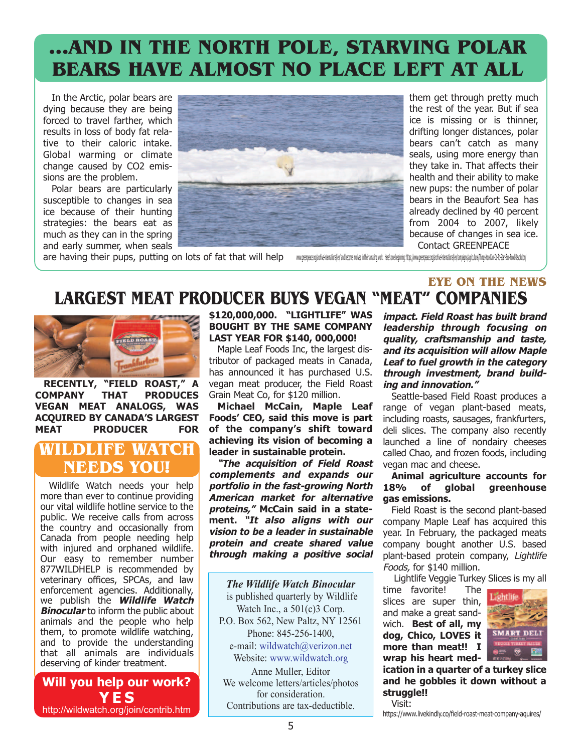## **…AND IN THE NORTH POLE, STARVING POLAR BEARS HAVE ALMOST NO PLACE LEFT AT ALL**

In the Arctic, polar bears are dying because they are being forced to travel farther, which results in loss of body fat rel[a](https://www.theverge.com/2018/2/1/16959250/polar-bears-metabolism-seals-arctic-ice-climate-change)tive to their caloric intake. Global warming or climate change caused by CO2 emissions are the problem.

Polar bears are particularly susceptible to changes in sea ice because of their hunting strategies: the bears eat as much as they can in the spring and early summer, when seals



them get through pretty much the rest of the year. But if sea ice is missing or is thinner, drifting longer distances, polar bears can't catch as many seals, using more energy than they take in. That affects their health and their ability to make new pups: the number of polar bears in the Beaufort Sea has already declined by 40 percent from 2004 to 2007, likely because of changes in sea ice. Contact GREENPEACE

**EYE ON THE NEWS**

are having their pups, putting on lots of fat that will help

www.oresnexe.org/ardive-internationalien/ and become invoked in their amazin work. Here's one beginning: https://www.oresnexe.org/ardive-internationalien/compositions/tour-Bon-Gara-Bon-To-Start-Eco-Food-Revolution/

## **LARGEST MEAT PRODUCER BUYS VEGAN "MEAT" COMPANIES**



**RECENTLY, "FIELD ROAST," A COMPANY THAT PRODUCES VEGAN MEAT ANALOGS, WAS ACQUIRED BY CANADA'S LARGEST MEAT PRODUCER FOR**

### **WILDLIFE WATCH NEEDS YOU!**

Wildlife Watch needs your help more than ever to continue providing our vital wildlife hotline service to the public. We receive calls from across the country and occasionally from Canada from people needing help with injured and orphaned wildlife. Our easy to remember number 877WILDHELP is recommended by veterinary offices, SPCAs, and law enforcement agencies. Additionally, we publish the **Wildlife Watch Binocular** to inform the public about animals and the people who help them, to promote wildlife watching, and to provide the understanding that all animals are individuals deserving of kinder treatment.

### **Will you help our work? YES** http://wildwatch.org/join/contrib.htm

**\$120,000,000. "LIGHTLIFE" WAS BOUGHT BY THE SAME COMPANY LAST YEAR FOR \$140, 000,000!** 

Maple Leaf Foods Inc, the largest distributor of packaged meats in Canada, has announced it has purchased U.S. vegan meat producer, the Field Roast Grain Meat Co, for \$120 million.

**Michael McCain, Maple Leaf Foods' CEO, said this move is part of the company's shift toward achieving its vision of becoming a leader in sustainable protein.**

**"The acquisition of Field Roast complements and expands our portfolio in the fast-growing North American market for alternative proteins," McCain said in a statement. "It also aligns with our vision to be a leader in sustainable protein and create shared value through making a positive social**

*The Wildlife Watch Binocular*  is published quarterly by Wildlife Watch Inc., a 501(c)3 Corp. P.O. Box 562, New Paltz, NY 12561 Phone: 845-256-1400, e-mail: wildwatch@verizon.net Website: www.wildwatch.org Anne Muller, Editor We welcome letters/articles/photos for consideration. Contributions are tax-deductible.

**impact. Field Roast has built brand leadership through focusing on quality, craftsmanship and taste, and its acquisition will allow Maple Leaf to fuel growth in the category through investment, brand building and innovation."**

Seattle-based Field Roast produces a range of vegan plant-based meats, including roasts, sausages, frankfurters, deli slices. The company also recently launched a line of nondairy cheeses called Chao, and frozen foods, including vegan mac and cheese.

#### **Animal agriculture accounts for 18% of global greenhouse gas emissions.**

Field Roast is the second plant-based company Maple Leaf has acquired this year. In February, the packaged meats company bought another U.S. based plant-based protein company, Lightlife Foods, for \$140 million.

Lightlife Veggie Turkey Slices is my all

time favorite! The slices are super thin, and make a great sandwich. **Best of all, my dog, Chico, LOVES it more than meat!! I wrap his heart med-**



**ication in a quarter of a turkey slice and he gobbles it down without a struggle!!** 

https://www.livekindly.co/field-roast-meat-company-aquires/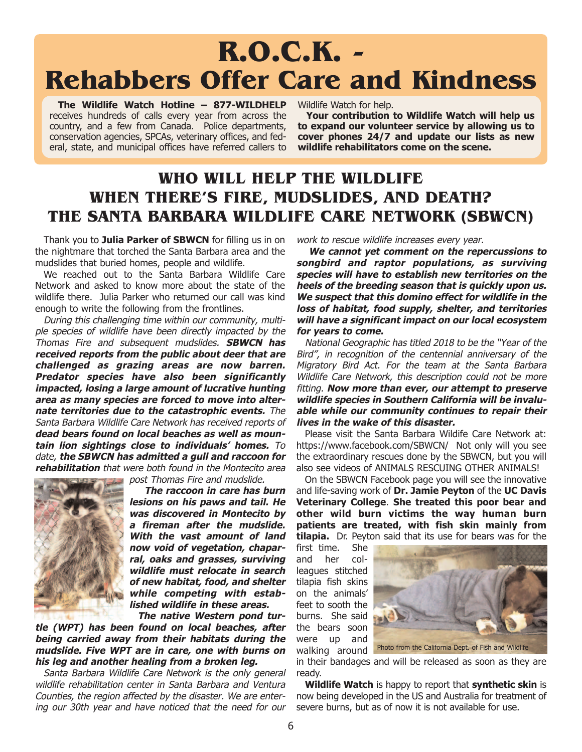# **R.O.C.K. - Rehabbers Offer Care and Kindness**

**The Wildlife Watch Hotline – 877-WILDHELP** receives hundreds of calls every year from across the country, and a few from Canada. Police departments, conservation agencies, SPCAs, veterinary offices, and federal, state, and municipal offices have referred callers to

Wildlife Watch for help.

**Your contribution to Wildlife Watch will help us to expand our volunteer service by allowing us to cover phones 24/7 and update our lists as new wildlife rehabilitators come on the scene.**

## **WHO WILL HELP THE WILDLIFE WHEN THERE'S FIRE, MUDSLIDES, AND DEATH? THE SANTA BARBARA WILDLIFE CARE NETWORK (SBWCN)**

Thank you to **Julia Parker of SBWCN** for filling us in on the nightmare that torched the Santa Barbara area and the mudslides that buried homes, people and wildlife.

We reached out to the Santa Barbara Wildlife Care Network and asked to know more about the state of the wildlife there. Julia Parker who returned our call was kind enough to write the following from the frontlines.

During this challenging time within our community, multiple species of wildlife have been directly impacted by the Thomas Fire and subsequent mudslides. **SBWCN has received reports from the public about deer that are challenged as grazing areas are now barren. Predator species have also been significantly impacted, losing a large amount of lucrative hunting area as many species are forced to move into alternate territories due to the catastrophic events.** The Santa Barbara Wildlife Care Network has received reports of **dead bears found on local beaches as well as mountain lion sightings close to individuals' homes.** To date, **the SBWCN has admitted a gull and raccoon for rehabilitation** that were both found in the Montecito area



post Thomas Fire and mudslide.

**The raccoon in care has burn lesions on his paws and tail. He was discovered in Montecito by a fireman after the mudslide. With the vast amount of land now void of vegetation, chaparral, oaks and grasses, surviving wildlife must relocate in search of new habitat, food, and shelter while competing with established wildlife in these areas.**

**The native Western pond turtle (WPT) has been found on local beaches, after being carried away from their habitats during the mudslide. Five WPT are in care, one with burns on his leg and another healing from a broken leg.**

Santa Barbara Wildlife Care Network is the only general wildlife rehabilitation center in Santa Barbara and Ventura Counties, the region affected by the disaster. We are entering our 30th year and have noticed that the need for our

work to rescue wildlife increases every year.

**We cannot yet comment on the repercussions to songbird and raptor populations, as surviving species will have to establish new territories on the heels of the breeding season that is quickly upon us. We suspect that this domino effect for wildlife in the loss of habitat, food supply, shelter, and territories will have a significant impact on our local ecosystem for years to come.**

National Geographic has titled 2018 to be the "Year of the Bird", in recognition of the centennial anniversary of the Migratory Bird Act. For the team at the Santa Barbara Wildlife Care Network, this description could not be more fitting. **Now more than ever, our attempt to preserve wildlife species in Southern California will be invaluable while our community continues to repair their lives in the wake of this disaster.**

Please visit the Santa Barbara Wildife Care Network at: https://www.facebook.com/SBWCN/ Not only will you see the extraordinary rescues done by the SBWCN, but you will also see videos of ANIMALS RESCUING OTHER ANIMALS!

On the SBWCN Facebook page you will see the innovative and life-saving work of **Dr. Jamie Peyton** of the **UC Davis Veterinary College**. **She treated this poor bear and other wild burn victims the way human burn patients are treated, with fish skin mainly from tilapia.** Dr. Peyton said that its use for bears was for the

first time. She and her colleagues stitched tilapia fish skins on the animals' feet to sooth the burns. She said the bears soon were up and walking around



Photo from the California Dept. of Fish and Wildlife

in their bandages and will be released as soon as they are ready.

**Wildlife Watch** is happy to report that **synthetic skin** is now being developed in the US and Australia for treatment of severe burns, but as of now it is not available for use.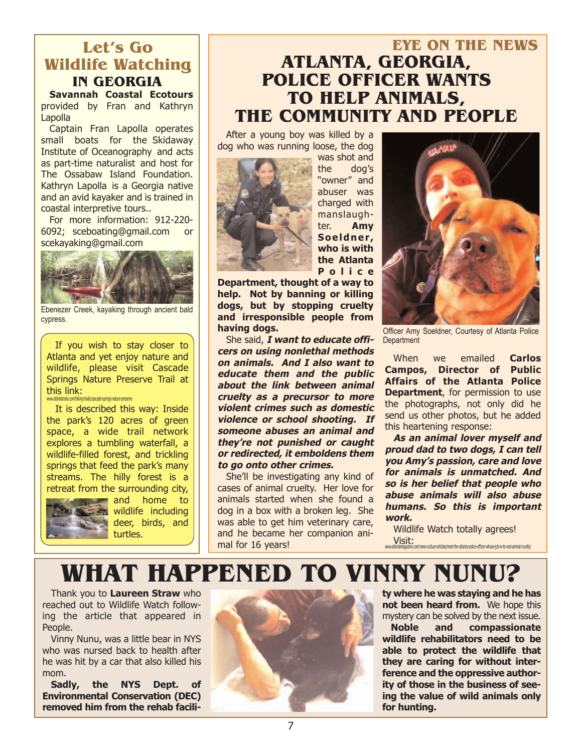### **IN GEORGIA Let's Go Wildlife Watching**

**Savannah Coastal Ecotours** provided by Fran and Kathryn Lapolla

Captain Fran Lapolla operates small boats for the Skidaway Institute of Oceanography and acts as part-time naturalist and host for The Ossabaw Island Foundation. Kathryn Lapolla is a Georgia native and an avid kayaker and is trained in coastal interpretive tours..

For more information: 912-220- 6092; sceboating@gmail.com or scekayaking@gmail.com



Ebenezer Creek, kayaking through ancient bald cypress.

If you wish to stay closer to Atlanta and yet enjoy nature and wildlife, please visit Cascade Springs Nature Preserve Trail at this link: www.atlantatrails.com/hiking-trails/cascade-springs-nature-preserve

It is described this way: Inside the park's 120 acres of green space, a wide trail network explores a tumbling waterfall, a wildlife-filled forest, and trickling springs that feed the park's many streams. The hilly forest is a retreat from the surrounding city,



**and** home to wildlife including deer, birds, and turtles.

## **EYE ON THE NEWS ATLANTA, GEORGIA, POLICE OFFICER WANTS TO HELP ANIMALS, THE COMMUNITY AND PEOPLE**

After a young boy was killed by a dog who was running loose, the dog



was shot and the dog's "owner" and abuser was charged with manslaughter. **Amy Soeldner, who is with the Atlanta Police**

**Department, thought of a way to help. Not by banning or killing dogs, but by stopping cruelty and irresponsible people from having dogs.** 

She said, **I want to educate officers on using nonlethal methods on animals. And I also want to educate them and the public about the link between animal cruelty as a precursor to more violent crimes such as domestic violence or school shooting. If someone abuses an animal and they're not punished or caught or redirected, it emboldens them to go onto other crimes.**

She'll be investigating any kind of cases of animal cruelty. Her love for animals started when she found a dog in a box with a broken leg. She was able to get him veterinary care, and he became her companion animal for 16 years!



Officer Amy Soeldner, Courtesy of Atlanta Police

When we emailed **Carlos Campos, Director of Public Affairs of the Atlanta Police Department**, for permission to use the photographs, not only did he send us other photos, but he added this heartening response:

**As an animal lover myself and proud dad to two dogs, I can tell you Amy's passion, care and love for animals is unmatched. And so is her belief that people who abuse animals will also abuse humans. So this is important work.**

Wildlife Watch totally agrees! Visit: www.atlantamagazine.com/news-culture-articles/meet-the-atlanta-police-officer-whose-job-is-to-end-animal-cruelty/

## **WHAT HAPPENED TO VINNY NUNU?**

Thank you to **Laureen Straw** who reached out to Wildlife Watch following the article that appeared in People.

Vinny Nunu, was a little bear in NYS who was nursed back to health after he was hit by a car that also killed his mom.

**Sadly, the NYS Dept. of Environmental Conservation (DEC) removed him from the rehab facili-**



**ty where he was staying and he has not been heard from.** We hope this mystery can be solved by the next issue.

**Noble and compassionate wildlife rehabilitators need to be able to protect the wildlife that they are caring for without interference and the oppressive authority of those in the business of seeing the value of wild animals only for hunting.**